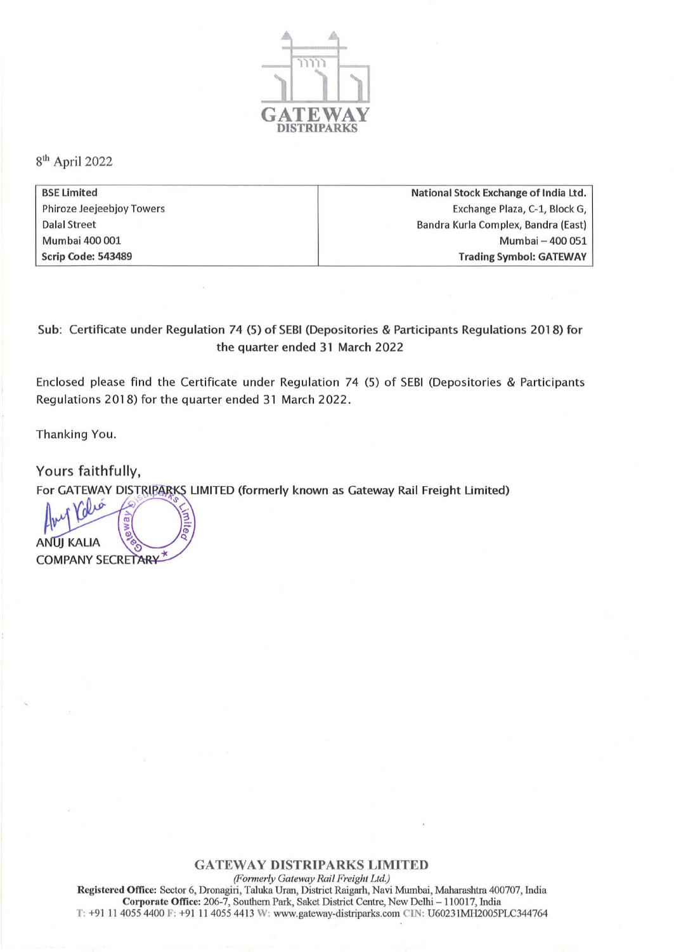

8th April 2022

| BSE Limited               | National Stock Exchange of India Ltd. |
|---------------------------|---------------------------------------|
| Phiroze Jeejeebjoy Towers | Exchange Plaza, C-1, Block G,         |
| <b>Dalal Street</b>       | Bandra Kurla Complex, Bandra (East)   |
| <b>Mumbai 400 001</b>     | Mumbai - 400 051                      |
| <b>Scrip Code: 543489</b> | <b>Trading Symbol: GATEWAY</b>        |

Sub: Certificate under Regulation 74 (5) of SEBI (Depositories & Participants Regulations 2018) for the quarter ended 31 March 2022

Enclosed please find the Certificate under Regulation 74 (5) of SEBI (Depositories & Participants Regulations 2018) for the quarter ended 31 March 2022.

Thanking You.

Yours faithfully.

For GATEWAY DISTRIPARKS LIMITED (formerly known as Gateway Rail Freight Limited)

**ANUI KALIA** COMPANY SECRETARY

## GATEWAY **DISTRIPARKS LlMlTED**

*(Fomler/y Gateway Rail Freight Ltd.)*  Registered Office: Sector 6, Dronagiri, Taluka Uran, District Raigarh, Navi Mumbai, Maharashtra 400707, India Corporate Office: 206-7, Southern Park, Saket District Centre, New Delhi - 110017, India T: +9 1 II 40554400 F: +91 II 405544 13 W: www.gateway-distriparks.com CIN: U60231MH2005PLC344764